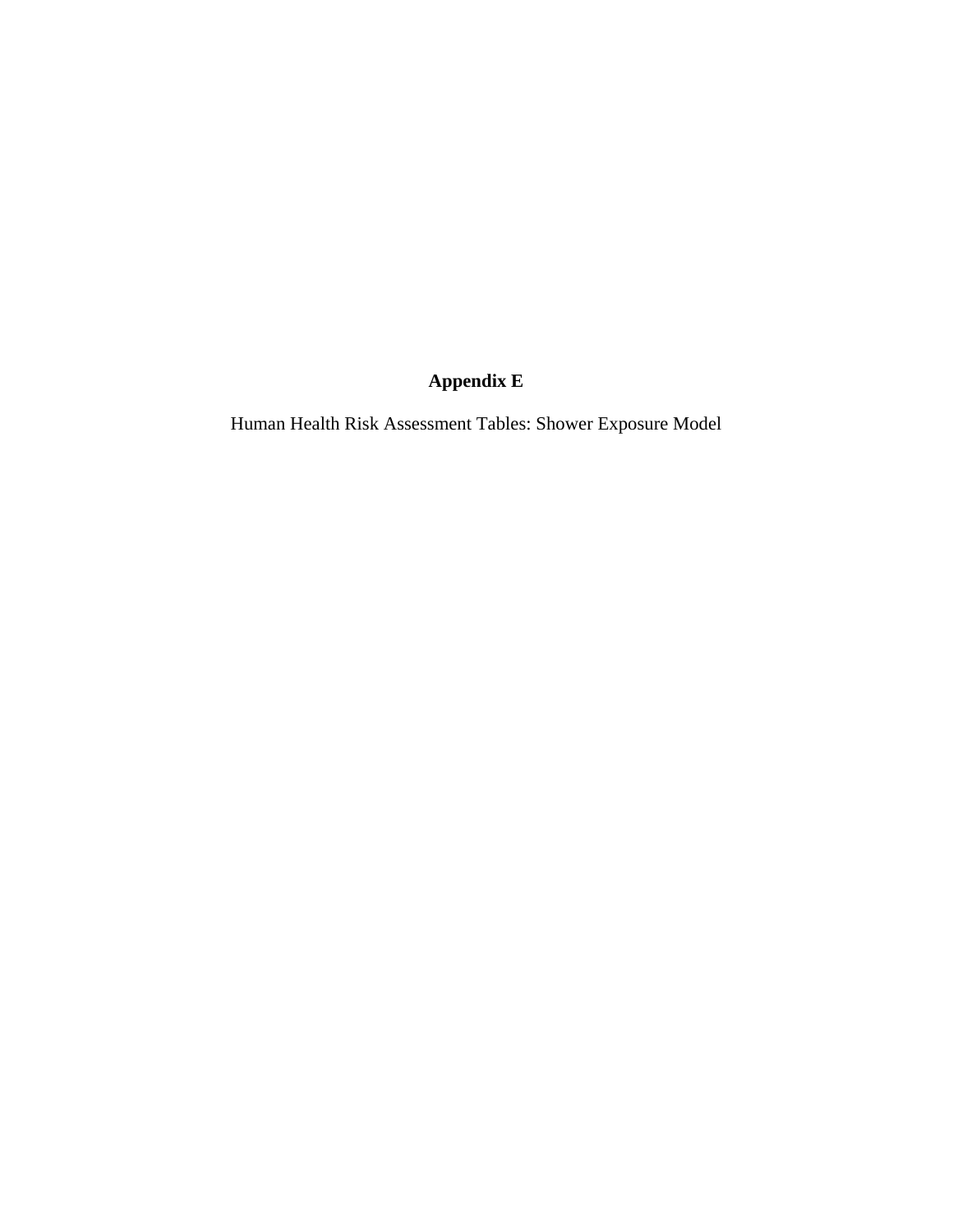## **Appendix E**

Human Health Risk Assessment Tables: Shower Exposure Model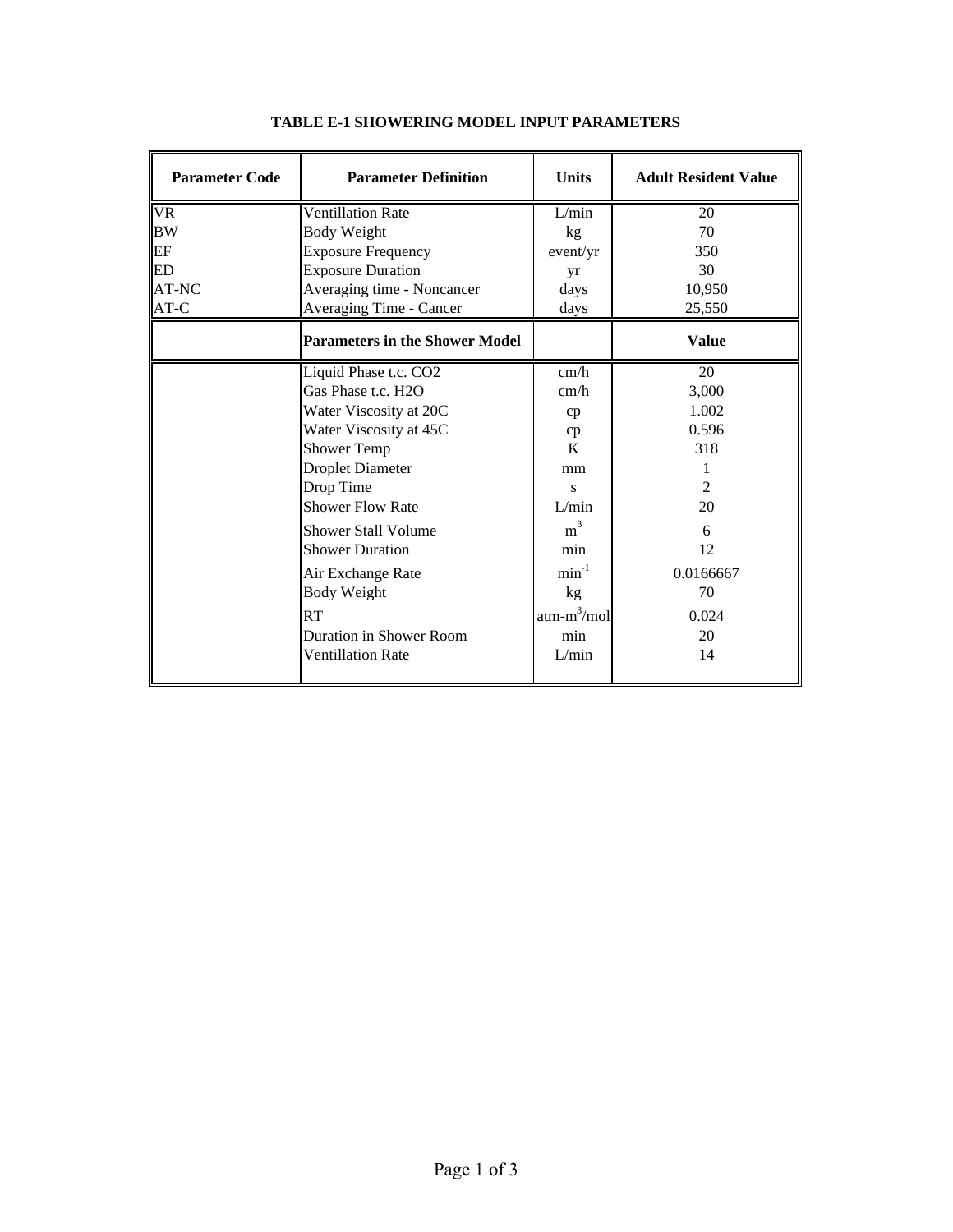| <b>Parameter Code</b>  | <b>Parameter Definition</b>           | <b>Units</b>   | <b>Adult Resident Value</b> |
|------------------------|---------------------------------------|----------------|-----------------------------|
| $\overline{\text{VR}}$ | <b>Ventillation Rate</b>              | L/min          | 20                          |
| <b>BW</b>              | <b>Body Weight</b>                    | kg             | 70                          |
| EF                     | <b>Exposure Frequency</b>             | event/yr       | 350                         |
| <b>ED</b>              | <b>Exposure Duration</b>              | yr             | 30                          |
| AT-NC                  | Averaging time - Noncancer            | days           | 10,950                      |
| AT-C                   | Averaging Time - Cancer               | days           | 25,550                      |
|                        | <b>Parameters in the Shower Model</b> |                | <b>Value</b>                |
|                        | Liquid Phase t.c. CO2                 | cm/h           | 20                          |
|                        | Gas Phase t.c. H2O                    | cm/h           | 3,000                       |
|                        | Water Viscosity at 20C                | cp             | 1.002                       |
|                        | Water Viscosity at 45C                | cp             | 0.596                       |
|                        | Shower Temp                           | K              | 318                         |
|                        | <b>Droplet Diameter</b>               | mm             |                             |
|                        | Drop Time                             | S              | $\mathfrak{D}$              |
|                        | <b>Shower Flow Rate</b>               | L/min          | 20                          |
|                        | <b>Shower Stall Volume</b>            | m <sup>3</sup> | 6                           |
|                        | <b>Shower Duration</b>                | min            | 12                          |
|                        | Air Exchange Rate                     | $min^{-1}$     | 0.0166667                   |
|                        | <b>Body Weight</b>                    | kg             | 70                          |
|                        | RT                                    | $atm-m^3/mol$  | 0.024                       |
|                        | Duration in Shower Room               | min            | 20                          |
|                        | <b>Ventillation Rate</b>              | L/min          | 14                          |

## **TABLE E-1 SHOWERING MODEL INPUT PARAMETERS**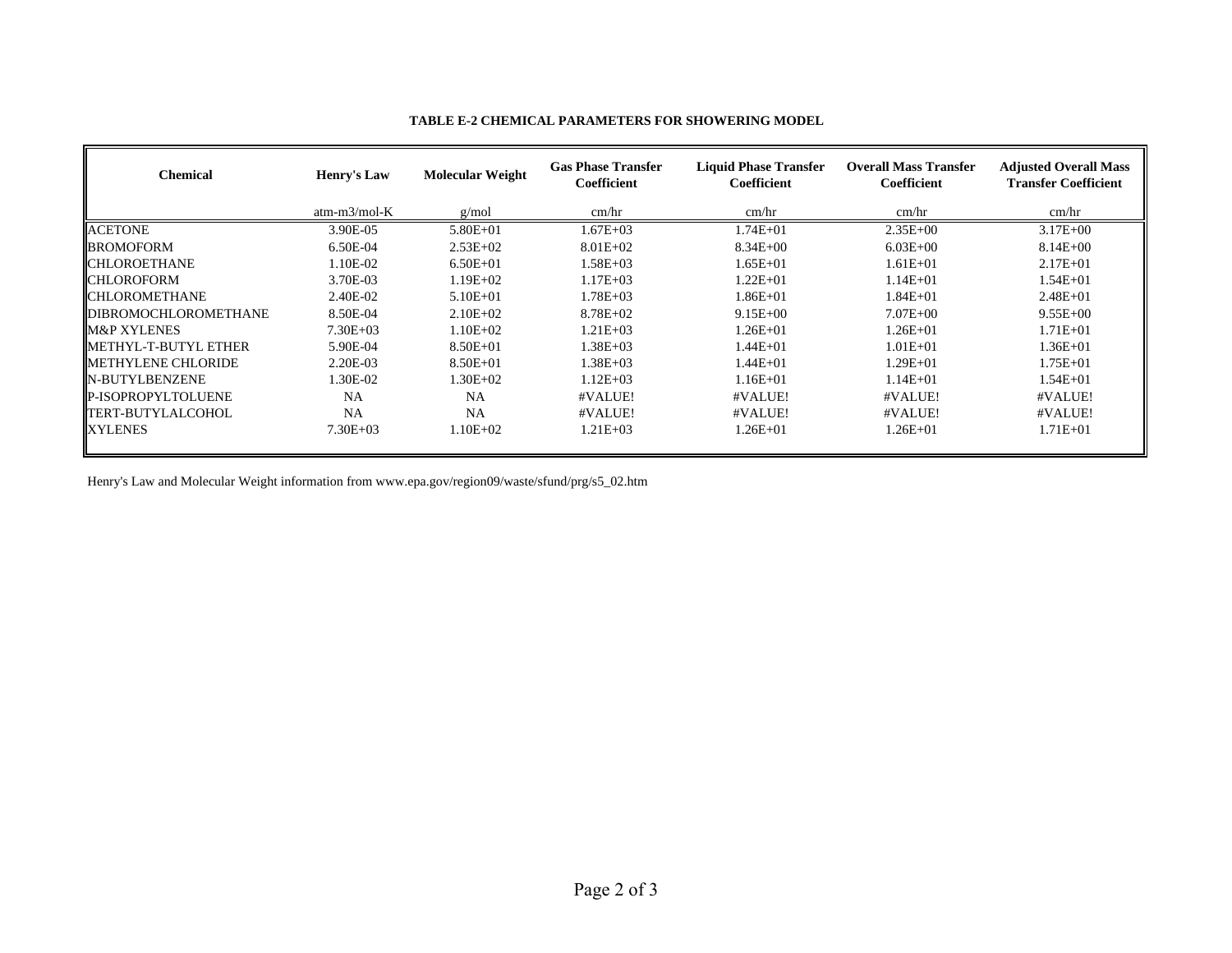| <b>Chemical</b>      | Henry's Law    | <b>Molecular Weight</b> | <b>Gas Phase Transfer</b><br><b>Coefficient</b> | <b>Liquid Phase Transfer</b><br><b>Coefficient</b> | <b>Overall Mass Transfer</b><br>Coefficient | <b>Adjusted Overall Mass</b><br><b>Transfer Coefficient</b> |
|----------------------|----------------|-------------------------|-------------------------------------------------|----------------------------------------------------|---------------------------------------------|-------------------------------------------------------------|
|                      | $atm-m3/mol-K$ | g/mol                   | cm/hr                                           | cm/hr                                              | cm/hr                                       | cm/hr                                                       |
| <b>ACETONE</b>       | 3.90E-05       | $5.80E + 01$            | $1.67E + 03$                                    | $1.74E + 01$                                       | $2.35E + 00$                                | $3.17E + 00$                                                |
| <b>BROMOFORM</b>     | 6.50E-04       | $2.53E+02$              | $8.01E + 02$                                    | $8.34E + 00$                                       | $6.03E + 00$                                | $8.14E + 00$                                                |
| CHLOROETHANE         | 1.10E-02       | $6.50E + 01$            | $1.58E + 03$                                    | $1.65E + 01$                                       | 1.61E+01                                    | $2.17E + 01$                                                |
| CHLOROFORM           | 3.70E-03       | $1.19E + 02$            | $1.17E + 0.3$                                   | $1.22E + 01$                                       | $1.14E + 01$                                | $1.54E + 01$                                                |
| CHLOROMETHANE        | 2.40E-02       | $5.10E + 01$            | 1.78E+03                                        | $1.86E + 01$                                       | $-.84E + 01$                                | $2.48E + 01$                                                |
| DIBROMOCHLOROMETHANE | 8.50E-04       | $2.10E + 02$            | $8.78E + 02$                                    | $9.15E + 00$                                       | $7.07E + 00$                                | $9.55E + 00$                                                |
| M&P XYLENES          | $7.30E + 03$   | $1.10E + 02$            | $1.21E + 03$                                    | $1.26E + 01$                                       | $1.26E + 01$                                | $1.71E + 01$                                                |
| METHYL-T-BUTYL ETHER | 5.90E-04       | $8.50E + 01$            | 1.38E+03                                        | $1.44E + 01$                                       | 1.01E+01                                    | $1.36E + 01$                                                |
| METHYLENE CHLORIDE   | 2.20E-03       | $8.50E + 01$            | 1.38E+03                                        | $1.44E + 01$                                       | 1.29E+01                                    | $1.75E + 01$                                                |
| N-BUTYLBENZENE       | 1.30E-02       | $1.30E + 02$            | $1.12E + 03$                                    | $1.16E + 01$                                       | $1.14E + 01$                                | $1.54E + 01$                                                |
| P-ISOPROPYLTOLUENE   | <b>NA</b>      | <b>NA</b>               | #VALUE!                                         | #VALUE!                                            | #VALUE!                                     | #VALUE!                                                     |
| FERT-BUTYLALCOHOL    | <b>NA</b>      | <b>NA</b>               | #VALUE!                                         | #VALUE!                                            | #VALUE!                                     | #VALUE!                                                     |
| XYLENES              | $7.30E + 03$   | $1.10E + 02$            | $1.21E + 03$                                    | $1.26E + 01$                                       | $1.26E + 01$                                | $1.71E + 01$                                                |

## **TABLE E-2 CHEMICAL PARAMETERS FOR SHOWERING MODEL**

Henry's Law and Molecular Weight information from www.epa.gov/region09/waste/sfund/prg/s5\_02.htm